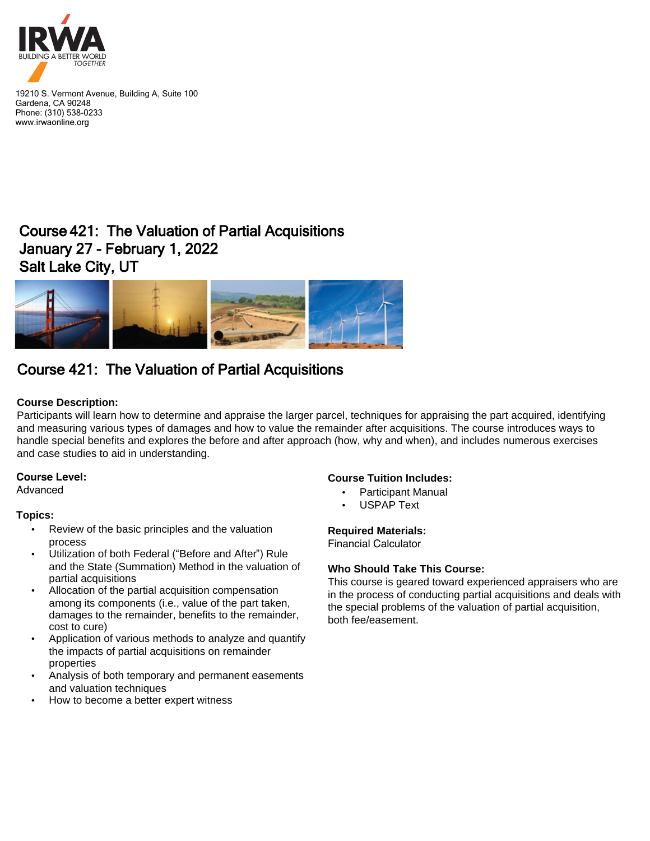

19210 S. Vermont Avenue, Building A, Suite 100 Gardena, CA 90248 Phone: (310) 538-0233 www.irwaonline.org

## Course 421: The Valuation of Partial Acquisitions January 27 - February 1, 2022 Salt Lake City, UT



# Course 421: The Valuation of Partial Acquisitions

### **Course Description:**

Participants will learn how to determine and appraise the larger parcel, techniques for appraising the part acquired, identifying and measuring various types of damages and how to value the remainder after acquisitions. The course introduces ways to handle special benefits and explores the before and after approach (how, why and when), and includes numerous exercises and case studies to aid in understanding.

#### **Course Level:**

Advanced

#### **Topics:**

- Review of the basic principles and the valuation process
- Utilization of both Federal ("Before and After") Rule and the State (Summation) Method in the valuation of partial acquisitions
- Allocation of the partial acquisition compensation among its components (i.e., value of the part taken, damages to the remainder, benefits to the remainder, cost to cure)
- Application of various methods to analyze and quantify the impacts of partial acquisitions on remainder properties
- Analysis of both temporary and permanent easements and valuation techniques
- How to become a better expert witness

#### **Course Tuition Includes:**

- Participant Manual
- USPAP Text

#### **Required Materials:**

Financial Calculator

#### **Who Should Take This Course:**

This course is geared toward experienced appraisers who are in the process of conducting partial acquisitions and deals with the special problems of the valuation of partial acquisition, both fee/easement.